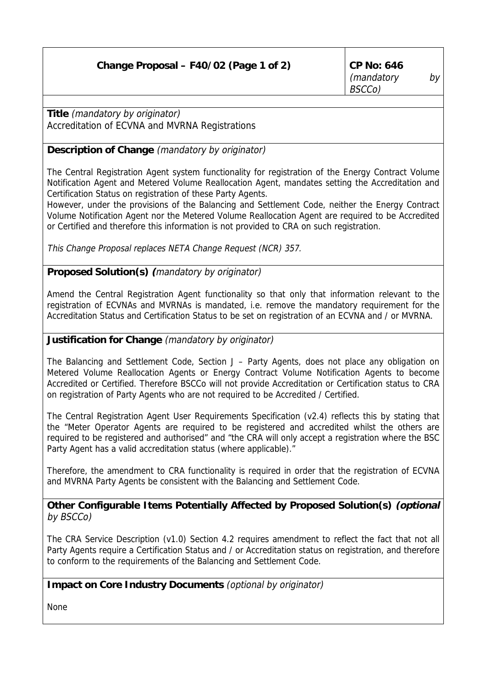| Change Proposal – F40/02 (Page 1 of 2) | CP No: 646<br>(mandatory<br>BSCCo) | by ' |
|----------------------------------------|------------------------------------|------|
|----------------------------------------|------------------------------------|------|

**Title** (mandatory by originator) Accreditation of ECVNA and MVRNA Registrations

## **Description of Change** (mandatory by originator)

The Central Registration Agent system functionality for registration of the Energy Contract Volume Notification Agent and Metered Volume Reallocation Agent, mandates setting the Accreditation and Certification Status on registration of these Party Agents.

However, under the provisions of the Balancing and Settlement Code, neither the Energy Contract Volume Notification Agent nor the Metered Volume Reallocation Agent are required to be Accredited or Certified and therefore this information is not provided to CRA on such registration.

This Change Proposal replaces NETA Change Request (NCR) 357.

## **Proposed Solution(s) (**mandatory by originator)

Amend the Central Registration Agent functionality so that only that information relevant to the registration of ECVNAs and MVRNAs is mandated, i.e. remove the mandatory requirement for the Accreditation Status and Certification Status to be set on registration of an ECVNA and / or MVRNA.

## **Justification for Change** (mandatory by originator)

The Balancing and Settlement Code, Section J – Party Agents, does not place any obligation on Metered Volume Reallocation Agents or Energy Contract Volume Notification Agents to become Accredited or Certified. Therefore BSCCo will not provide Accreditation or Certification status to CRA on registration of Party Agents who are not required to be Accredited / Certified.

The Central Registration Agent User Requirements Specification (v2.4) reflects this by stating that the "Meter Operator Agents are required to be registered and accredited whilst the others are required to be registered and authorised" and "the CRA will only accept a registration where the BSC Party Agent has a valid accreditation status (where applicable)."

Therefore, the amendment to CRA functionality is required in order that the registration of ECVNA and MVRNA Party Agents be consistent with the Balancing and Settlement Code.

**Other Configurable Items Potentially Affected by Proposed Solution(s) (optional** by BSCCo)

The CRA Service Description (v1.0) Section 4.2 requires amendment to reflect the fact that not all Party Agents require a Certification Status and / or Accreditation status on registration, and therefore to conform to the requirements of the Balancing and Settlement Code.

## **Impact on Core Industry Documents** (optional by originator)

None